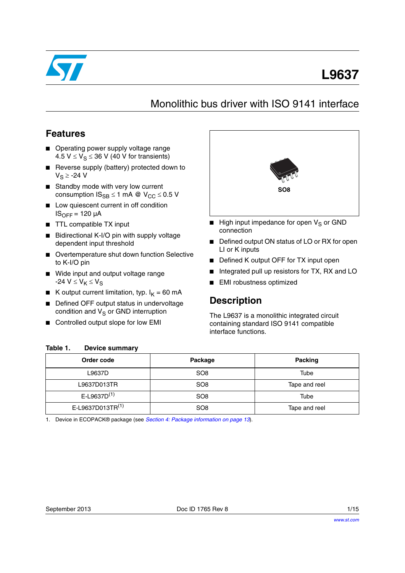

# **L9637**

## Monolithic bus driver with ISO 9141 interface

### **Features**

- Operating power supply voltage range 4.5  $V \le V_S \le 36$  V (40 V for transients)
- Reverse supply (battery) protected down to  $V_S \ge -24$  V
- Standby mode with very low current consumption  $IS_{SB} \le 1$  mA @  $V_{CC} \le 0.5$  V
- Low quiescent current in off condition  $IS<sub>OFF</sub> = 120 \mu A$
- TTL compatible TX input
- Bidirectional K-I/O pin with supply voltage dependent input threshold
- Overtemperature shut down function Selective to K-I/O pin
- Wide input and output voltage range -24  $V \leq V_K \leq V_S$
- K output current limitation, typ.  $I_K = 60$  mA
- Defined OFF output status in undervoltage condition and  $V_S$  or GND interruption

**Device summary** 

■ Controlled output slope for low EMI



- High input impedance for open  $V_S$  or GND connection
- Defined output ON status of LO or RX for open LI or K inputs
- Defined K output OFF for TX input open
- Integrated pull up resistors for TX, RX and LO
- EMI robustness optimized

### **Description**

The L9637 is a monolithic integrated circuit containing standard ISO 9141 compatible interface functions.

| Order code                 | Package         | Packing       |
|----------------------------|-----------------|---------------|
| L9637D                     | SO <sub>8</sub> | Tube          |
| L9637D013TR                | SO <sub>8</sub> | Tape and reel |
| $E$ -L9637D <sup>(1)</sup> | SO <sub>8</sub> | Tube          |
| E-L9637D013TR(1)           | SO <sub>8</sub> | Tape and reel |

<span id="page-0-0"></span>1. Device in ECOPACK® package (see *[Section 4: Package information on page 13](#page-12-0)*).

<span id="page-0-1"></span>Table 1.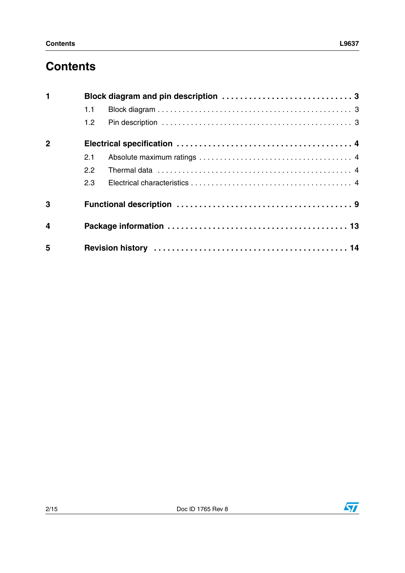# **Contents**

| $\mathbf{1}$            |                  | Block diagram and pin description  3 |
|-------------------------|------------------|--------------------------------------|
|                         | 1.1              |                                      |
|                         | 1.2 <sub>1</sub> |                                      |
| $\overline{2}$          |                  |                                      |
|                         | 2.1              |                                      |
|                         | $2.2^{\circ}$    |                                      |
|                         | 2.3              |                                      |
| 3                       |                  |                                      |
| $\overline{\mathbf{4}}$ |                  |                                      |
| 5                       |                  |                                      |

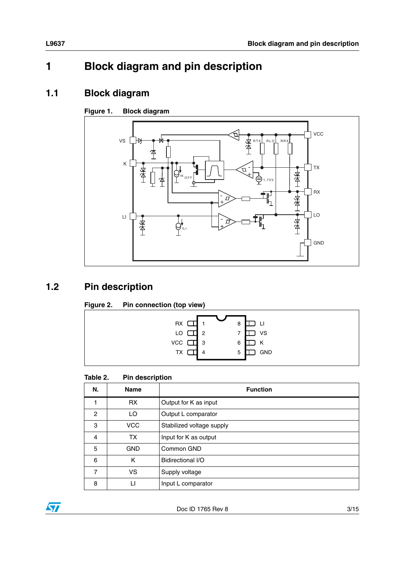# <span id="page-2-0"></span>**1 Block diagram and pin description**

### <span id="page-2-1"></span>**1.1 Block diagram**

#### **Figure 1. Block diagram**



### <span id="page-2-2"></span>**1.2 Pin description**

#### **Figure 2. Pin connection (top view)**



#### Table 2. **Pin description**

| N.             | <b>Name</b> | <b>Function</b>           |
|----------------|-------------|---------------------------|
|                | <b>RX</b>   | Output for K as input     |
| $\overline{c}$ | LO          | Output L comparator       |
| 3              | <b>VCC</b>  | Stabilized voltage supply |
| $\overline{4}$ | <b>TX</b>   | Input for K as output     |
| 5              | <b>GND</b>  | Common GND                |
| 6              | K           | Bidirectional I/O         |
| $\overline{7}$ | VS.         | Supply voltage            |
| 8              | П           | Input L comparator        |

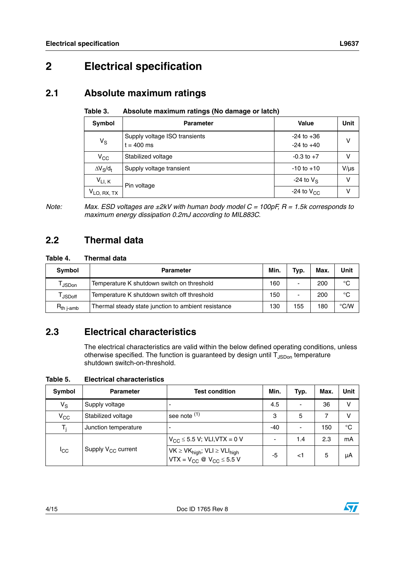# <span id="page-3-0"></span>**2 Electrical specification**

### <span id="page-3-1"></span>**2.1 Absolute maximum ratings**

| Absolute maximum ratings (No damage or latch)<br>Table 3. |  |
|-----------------------------------------------------------|--|
|-----------------------------------------------------------|--|

| Symbol                 | <b>Parameter</b>                              | <b>Value</b>                     | Unit      |
|------------------------|-----------------------------------------------|----------------------------------|-----------|
| $V_S$                  | Supply voltage ISO transients<br>$t = 400$ ms | $-24$ to $+36$<br>$-24$ to $+40$ | v         |
| $V_{\rm CC}$           | Stabilized voltage                            | $-0.3$ to $+7$                   | v         |
| $\Delta V_S/d_t$       | Supply voltage transient                      | $-10$ to $+10$                   | $V/\mu s$ |
| $V_{LI, K}$            | Pin voltage                                   | -24 to $V_S$                     | v         |
| $V_{LO, \, RX, \, TX}$ |                                               | -24 to $V_{CC}$                  | v         |

*Note: Max. ESD voltages are ±2kV with human body model C = 100pF, R = 1.5k corresponds to maximum energy dissipation 0.2mJ according to MIL883C.*

### <span id="page-3-2"></span>**2.2 Thermal data**

#### **Table 4. Thermal data**

| Symbol          | <b>Parameter</b>                                    |     | Typ. | Max. | Unit          |
|-----------------|-----------------------------------------------------|-----|------|------|---------------|
| <b>JSDon</b>    | Temperature K shutdown switch on threshold          | 160 | -    | 200  | $^{\circ}C$   |
| <b>JSDoff</b>   | Temperature K shutdown switch off threshold         | 150 |      | 200  | $^{\circ}C$   |
| $R_{th\,$ j-amb | Thermal steady state junction to ambient resistance | 130 | 155  | 180  | $\degree$ C/W |

### <span id="page-3-3"></span>**2.3 Electrical characteristics**

The electrical characteristics are valid within the below defined operating conditions, unless otherwise specified. The function is guaranteed by design until  $T_{\text{JSDon}}$  temperature shutdown switch-on-threshold.

<span id="page-3-4"></span>**Table 5. Electrical characteristics**

| Symbol          | <b>Parameter</b>        | <b>Test condition</b>                                                                     | Min. | Typ.                     | Max. | Unit |
|-----------------|-------------------------|-------------------------------------------------------------------------------------------|------|--------------------------|------|------|
| $V_S$           | Supply voltage          |                                                                                           | 4.5  | -                        | 36   | ٧    |
| $V_{CC}$        | Stabilized voltage      | see note $(1)$                                                                            | 3    | 5                        |      | v    |
| T,              | Junction temperature    |                                                                                           | -40  | $\overline{\phantom{0}}$ | 150  | °C   |
| <sup>I</sup> CC | Supply $V_{CC}$ current | $V_{CC}$ $\leq$ 5.5 V; VLI, VTX = 0 V                                                     | ۰    | 1.4                      | 2.3  | mA   |
|                 |                         | $VK \geq VK_{high}; VL \geq VL_{high}$<br>VTX = V <sub>CC</sub> @ V <sub>CC</sub> ≤ 5.5 V | -5   | <1                       | 5    | μA   |

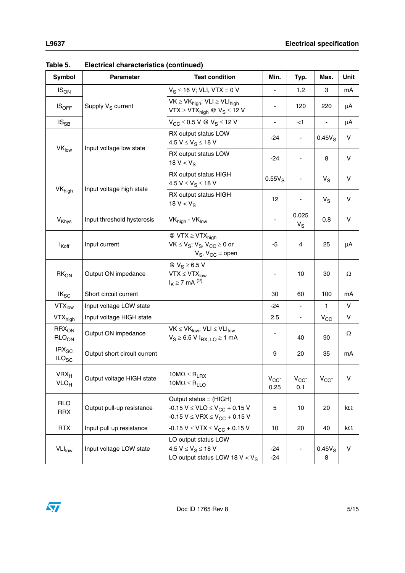| <b>Symbol</b>                                     | <b>Parameter</b>              | <b>Test condition</b>                                                                                                     | Min.                     | Typ.                     | Max.           | Unit   |
|---------------------------------------------------|-------------------------------|---------------------------------------------------------------------------------------------------------------------------|--------------------------|--------------------------|----------------|--------|
| $IS_{ON}$                                         |                               | $V_S \le 16$ V; VLI, VTX = 0 V                                                                                            |                          | 1.2                      | 3              | mA     |
| $IS_{OFF}$                                        | Supply V <sub>S</sub> current | $VK \geq VK_{high}$ ; $VLI \geq VLI_{high}$<br>VTX $\geq$ VTX <sub>high</sub> @ V <sub>S</sub> $\leq$ 12 V                |                          | 120                      | 220            | μA     |
| $IS_{SB}$                                         |                               | $V_{CC}$ $\leq$ 0.5 V @ $V_S$ $\leq$ 12 V                                                                                 | $\blacksquare$           | $<$ 1                    |                | μA     |
|                                                   |                               | RX output status LOW<br>4.5 $V \le V_S \le 18$ V                                                                          | -24                      |                          | $0.45V_S$      | $\vee$ |
| VK <sub>low</sub>                                 | Input voltage low state       | RX output status LOW<br>18 $V < V_S$                                                                                      | $-24$                    |                          | 8              | V      |
|                                                   | Input voltage high state      | RX output status HIGH<br>4.5 $V \le V_S \le 18$ V                                                                         | $0.55V_S$                |                          | $V_S$          | V      |
| <b>VK</b> <sub>high</sub>                         |                               | RX output status HIGH<br>18 $V < V_S$                                                                                     | 12                       |                          | $V_S$          | V      |
| <b>V</b> <sub>Khys</sub>                          | Input threshold hysteresis    | VK <sub>high</sub> - VK <sub>low</sub>                                                                                    |                          | 0.025<br>$V_S$           | 0.8            | V      |
| $I_{Koff}$                                        | Input current                 | $\textcircled{a}$ VTX $\geq$ VTX <sub>high</sub><br>$VK \leq V_S$ ; $V_S$ , $V_{CC} \geq 0$ or<br>$V_S$ , $V_{CC}$ = open | -5                       | 4                        | 25             | μA     |
| RK <sub>ON</sub>                                  | Output ON impedance           | @ $V_S \geq 6.5 V$<br>$VTX \leq VTX_{low}$<br>$I_K \ge 7$ mA $^{(2)}$                                                     | $\overline{\phantom{a}}$ | 10                       | 30             | Ω      |
| $IK_{SC}$                                         | Short circuit current         |                                                                                                                           | 30                       | 60                       | 100            | mA     |
| $VTX_{low}$                                       | Input voltage LOW state       |                                                                                                                           | $-24$                    | $\overline{\phantom{0}}$ | $\mathbf{1}$   | V      |
| VTX <sub>high</sub>                               | Input voltage HIGH state      |                                                                                                                           | 2.5                      | ٠                        | $V_{CC}$       | V      |
| $RRX_{ON}$<br>RLO <sub>ON</sub>                   | Output ON impedance           | $VK \leq VK_{low}$ ; VLI $\leq VLI_{low}$<br>$V_S \ge 6.5$ V $I_{RX, LO} \ge 1$ mA                                        |                          | 40                       | 90             | Ω      |
| $\textsf{IRX}_{\textsf{SC}}$<br>ILO <sub>SC</sub> | Output short circuit current  |                                                                                                                           | 9                        | 20                       | 35             | mA     |
| $VRX_{H}$<br>VLO <sub>H</sub>                     | Output voltage HIGH state     | $10M\Omega \leq R_{LRX}$<br>$10M\Omega \leq R_{LLO}$                                                                      | $V_{CC}$<br>0.25         | $V_{CC}$<br>0.1          | $V_{CC}$       | V      |
| <b>RLO</b><br><b>RRX</b>                          | Output pull-up resistance     | Output status = (HIGH)<br>$-0.15 V \leq VLO \leq V_{CC} + 0.15 V$<br>$-0.15$ V $\leq$ VRX $\leq$ V <sub>CC</sub> + 0.15 V | 5                        | 10                       | 20             | kΩ     |
| <b>RTX</b>                                        | Input pull up resistance      | $-0.15 V \leq VTX \leq V_{CC} + 0.15 V$                                                                                   | 10                       | 20                       | 40             | kΩ     |
| <b>VLI<sub>low</sub></b>                          | Input voltage LOW state       | LO output status LOW<br>4.5 $V \le V_S \le 18$ V<br>LO output status LOW 18 $V < V_S$                                     | $-24$<br>$-24$           |                          | $0.45V_S$<br>8 | V      |

**Table 5. Electrical characteristics (continued)**

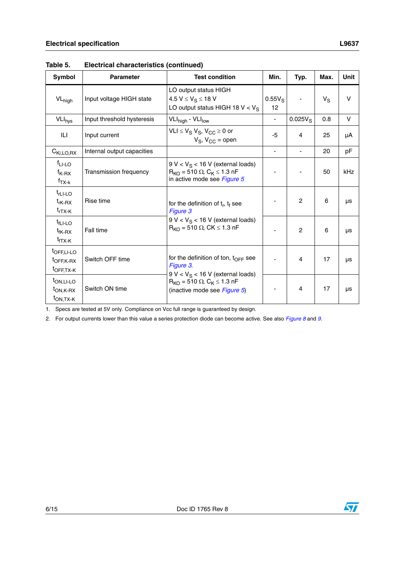| uwic J.                                                                  | Liccu icai characteristics (continueu) |                                                                                                                  |                 |                |       |            |
|--------------------------------------------------------------------------|----------------------------------------|------------------------------------------------------------------------------------------------------------------|-----------------|----------------|-------|------------|
| <b>Symbol</b>                                                            | <b>Parameter</b>                       | <b>Test condition</b>                                                                                            | Min.            | Typ.           | Max.  | Unit       |
| $VL_{high}$                                                              | Input voltage HIGH state               | LO output status HIGH<br>4.5 $V \le V_S \le 18$ V<br>LO output status HIGH 18 V < $V_S$                          | $0.55V_S$<br>12 |                | $V_S$ | v          |
| $VLI_{\text{hys}}$                                                       | Input threshold hysteresis             | VLI <sub>high</sub> - VLI <sub>low</sub>                                                                         |                 | $0.025V_S$     | 0.8   | V          |
| ILI                                                                      | Input current                          | $VLI \le V_S V_S$ , $V_{CC} \ge 0$ or<br>$V_S$ , $V_{CC}$ = open                                                 | $-5$            | 4              | 25    | μA         |
| $C_{Ki, LO, RX}$                                                         | Internal output capacities             |                                                                                                                  | ÷,              |                | 20    | pF         |
| $fLI-LO$<br>$f_{K-RX}$<br>$f_{TX-k}$                                     | Transmission frequency                 | $9 V < V_S < 16 V$ (external loads)<br>$R_{KO}$ = 510 $\Omega$ , $C_K \le 1.3$ nF<br>in active mode see Figure 5 |                 |                | 50    | <b>kHz</b> |
| $t$ <sub>rLI-LO</sub><br>$t_{\mathsf{rk-RX}}$<br>$t_{\sf rTX-K}$         | Rise time                              | for the definition of $t_r$ , $t_f$ see<br>Figure 3                                                              |                 | $\overline{2}$ | 6     | μs         |
| $t_{\text{fLI-LO}}$<br>t <sub>fK-RX</sub><br>t <sub>fTX-K</sub>          | Fall time                              | $9 V < V_S < 16 V$ (external loads)<br>$R_{KO}$ = 510 $\Omega$ , CK $\leq$ 1.3 nF                                |                 | $\mathbf{2}$   | 6     | μs         |
| t <sub>OFF,LI-LO</sub><br>t <sub>OFF,K-RX</sub><br>t <sub>OFF,TX-K</sub> | Switch OFF time                        | for the definition of ton, $t_{\text{OFF}}$ see<br>Figure 3.<br>$0 \le x \le 1$ $\le 16 \le 1$ (ovtarnal loade)  |                 | 4              | 17    | μs         |

9 V < V<sub>S</sub> < 16 V (external loads)  $\mathsf{R}_{\mathsf{KO}}$  = 510  $\Omega$ ,  $\mathsf{C}_{\mathsf{K}}$   $\leq$  1.3 nF

Switch ON time  $\frac{1}{\frac{1}{2}}$  (inactive mode see *[Figure 5](#page-9-0)*)  $\frac{1}{2}$   $\frac{1}{2}$  4  $\frac{1}{2}$  17  $\frac{1}{2}$  µs

**Table 5. Electrical characteristics (continued)**

1. Specs are tested at 5V only. Compliance on Vcc full range is guaranteed by design.

2. For output currents lower than this value a series protection diode can become active. See also *[Figure 8](#page-11-0)* and *[9](#page-11-1)*.



tON,LI-LO  $t_{ON,K-RX}$  $t_{ON,TX-K}$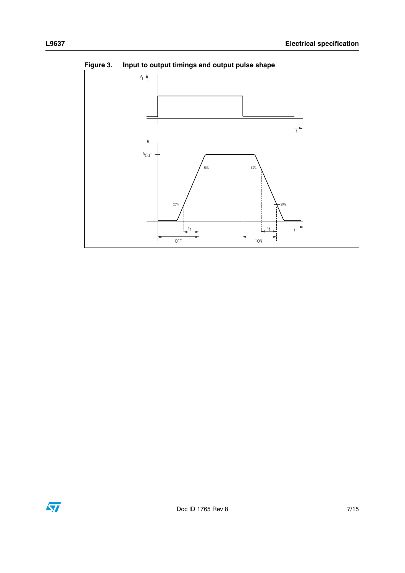

<span id="page-6-0"></span>**Figure 3. Input to output timings and output pulse shape**

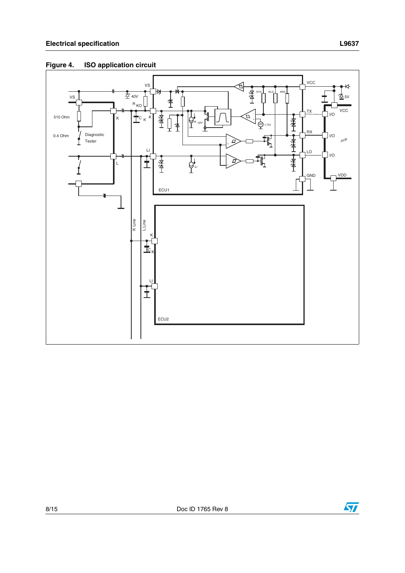

#### **Figure 4. ISO application circuit**

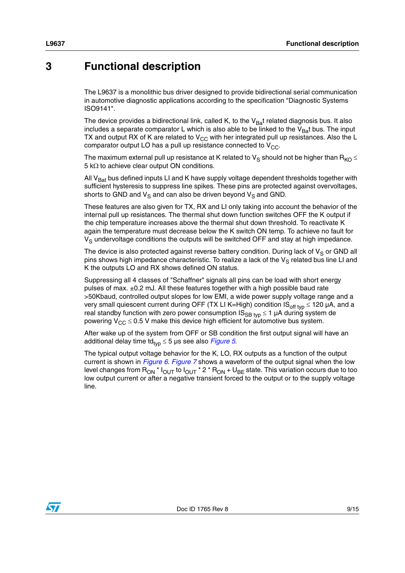### <span id="page-8-0"></span>**3 Functional description**

The L9637 is a monolithic bus driver designed to provide bidirectional serial communication in automotive diagnostic applications according to the specification "Diagnostic Systems ISO9141".

The device provides a bidirectional link, called K, to the  $V_{Ba}$ t related diagnosis bus. It also includes a separate comparator L which is also able to be linked to the  $V_{Ba}$ t bus. The input TX and output RX of K are related to  $V_{CC}$  with her integrated pull up resistances. Also the L comparator output LO has a pull up resistance connected to  $V_{CC}$ .

The maximum external pull up resistance at K related to  $V_S$  should not be higher than  $R_{KO} \leq$ 5 k $\Omega$  to achieve clear output ON conditions.

All  $V<sub>Bat</sub>$  bus defined inputs LI and K have supply voltage dependent thresholds together with sufficient hysteresis to suppress line spikes. These pins are protected against overvoltages, shorts to GND and  $V_S$  and can also be driven beyond  $V_S$  and GND.

These features are also given for TX, RX and LI only taking into account the behavior of the internal pull up resistances. The thermal shut down function switches OFF the K output if the chip temperature increases above the thermal shut down threshold. To reactivate K again the temperature must decrease below the K switch ON temp. To achieve no fault for  $V<sub>S</sub>$  undervoltage conditions the outputs will be switched OFF and stay at high impedance.

The device is also protected against reverse battery condition. During lack of  $V_S$  or GND all pins shows high impedance characteristic. To realize a lack of the  $V_S$  related bus line LI and K the outputs LO and RX shows defined ON status.

Suppressing all 4 classes of "Schaffner" signals all pins can be load with short energy pulses of max. ±0.2 mJ. All these features together with a high possible baud rate >50Kbaud, controlled output slopes for low EMI, a wide power supply voltage range and a very small quiescent current during OFF (TX LI K=High) condition  $IS_{off\;typ} \leq 120 \mu A$ , and a real standby function with zero power consumption  $IS_{SB\,typ} \leq 1$  µA during system de powering  $V_{CC} \le 0.5$  V make this device high efficient for automotive bus system.

After wake up of the system from OFF or SB condition the first output signal will have an additional delay time td<sub>tvp</sub>  $\leq$  5 µs see also *[Figure 5](#page-9-0)*.

The typical output voltage behavior for the K, LO, RX outputs as a function of the output current is shown in *[Figure 6](#page-10-0)*. *[Figure 7](#page-10-1)* shows a waveform of the output signal when the low level changes from  $R_{ON}$ <sup>\*</sup>  $I_{OUT}$  to  $I_{OUT}$ <sup>\*</sup> 2  $*$   $R_{ON}$  +  $U_{BE}$  state. This variation occurs due to too low output current or after a negative transient forced to the output or to the supply voltage line.

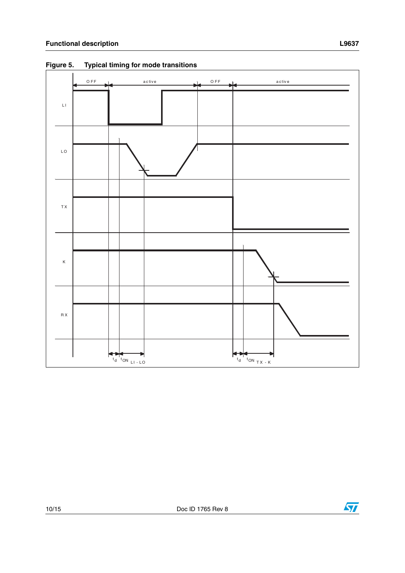

<span id="page-9-0"></span>**Figure 5. Typical timing for mode transitions**



 $\sqrt{2}$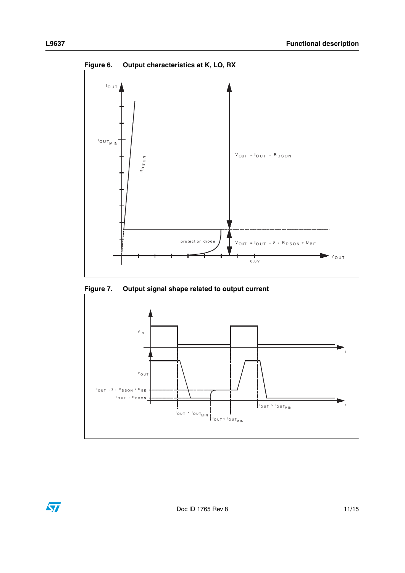<span id="page-10-0"></span>

<span id="page-10-1"></span>**Figure 7. Output signal shape related to output current**

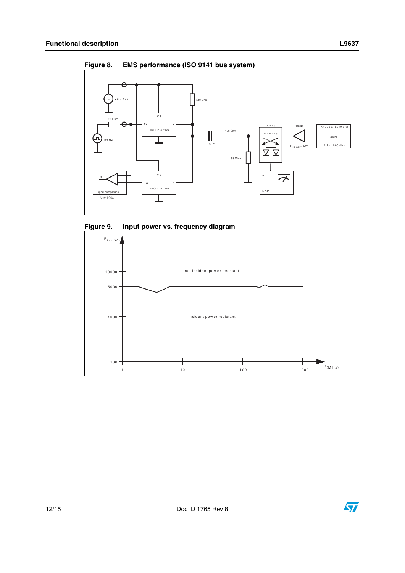

<span id="page-11-0"></span>**Figure 8. EMS performance (ISO 9141 bus system)**

<span id="page-11-1"></span>



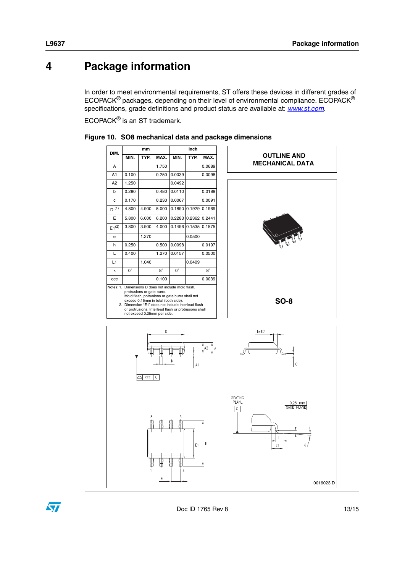### <span id="page-12-0"></span>**4 Package information**

In order to meet environmental requirements, ST offers these devices in different grades of ECOPACK® packages, depending on their level of environmental compliance. ECOPACK® specifications, grade definitions and product status are available at: *[www.st.com](http://www.st.com)*.

ECOPACK® is an ST trademark.



**Figure 10. SO8 mechanical data and package dimensions**

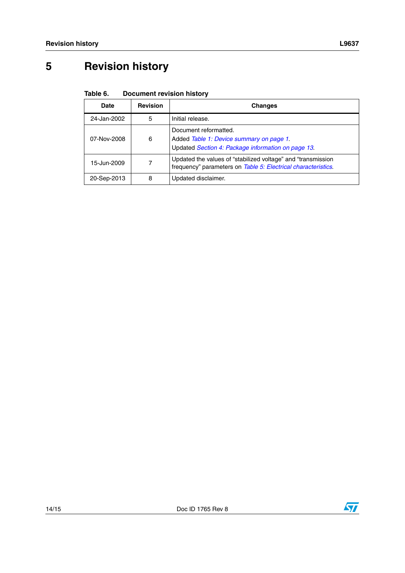# <span id="page-13-0"></span>**5 Revision history**

| Table 6. | <b>Document revision history</b> |  |  |
|----------|----------------------------------|--|--|
|----------|----------------------------------|--|--|

| Date        | <b>Revision</b> | <b>Changes</b>                                                                                                                 |
|-------------|-----------------|--------------------------------------------------------------------------------------------------------------------------------|
| 24-Jan-2002 | 5               | Initial release.                                                                                                               |
| 07-Nov-2008 | 6               | Document reformatted.<br>Added Table 1: Device summary on page 1.<br>Updated Section 4: Package information on page 13.        |
| 15-Jun-2009 |                 | Updated the values of "stabilized voltage" and "transmission"<br>frequency" parameters on Table 5: Electrical characteristics. |
| 20-Sep-2013 | 8               | Updated disclaimer.                                                                                                            |